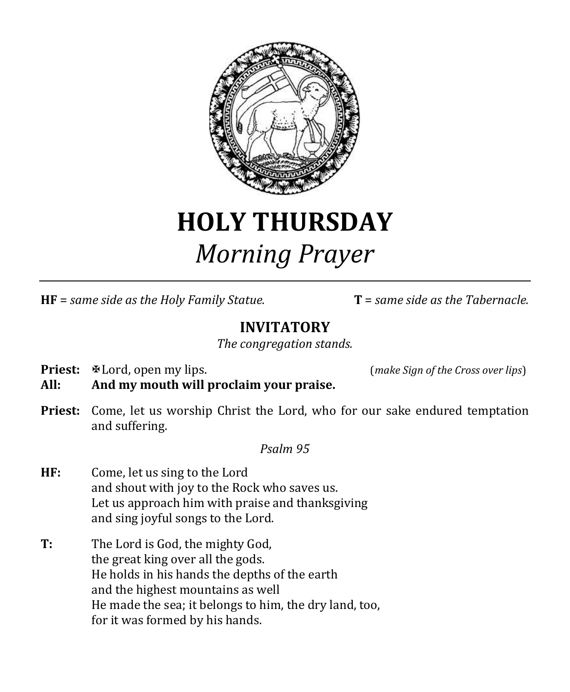

# **HOLY THURSDAY** *Morning Prayer*

**HF** = *same side as the Holy Family Statue.* **T** = *same side as the Tabernacle.*

# **INVITATORY**

*The congregation stands.*

**Priest:**  $\mathbb{R}$  Lord, open my lips. (*make Sign of the Cross over lips*)

**All: And my mouth will proclaim your praise.**

**Priest:** Come, let us worship Christ the Lord, who for our sake endured temptation and suffering.

*Psalm 95*

- **HF:** Come, let us sing to the Lord and shout with joy to the Rock who saves us. Let us approach him with praise and thanksgiving and sing joyful songs to the Lord.
- **T:** The Lord is God, the mighty God, the great king over all the gods. He holds in his hands the depths of the earth and the highest mountains as well He made the sea; it belongs to him, the dry land, too, for it was formed by his hands.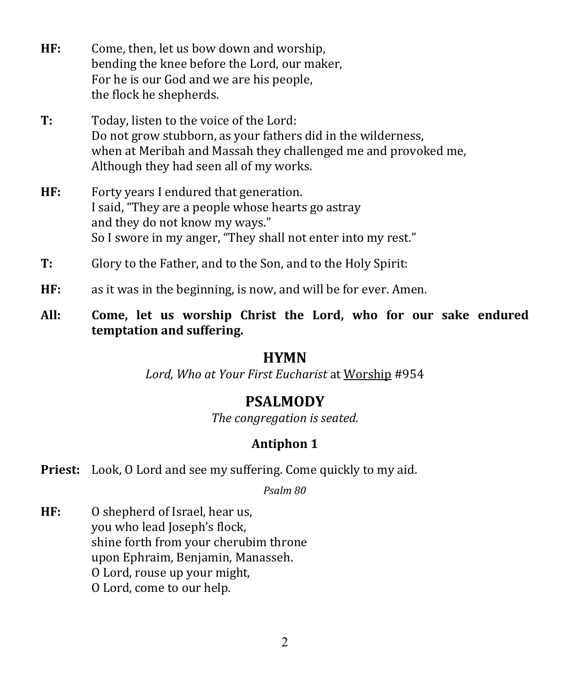- **HF:** Come, then, let us bow down and worship, bending the knee before the Lord, our maker, For he is our God and we are his people, the flock he shepherds.
- **T:** Today, listen to the voice of the Lord: Do not grow stubborn, as your fathers did in the wilderness, when at Meribah and Massah they challenged me and provoked me, Although they had seen all of my works.
- **HF:** Forty years I endured that generation. I said, "They are a people whose hearts go astray and they do not know my ways." So I swore in my anger, "They shall not enter into my rest."
- **T:** Glory to the Father, and to the Son, and to the Holy Spirit:
- **HF:** as it was in the beginning, is now, and will be for ever. Amen.
- **All: Come, let us worship Christ the Lord, who for our sake endured temptation and suffering.**

### **HYMN**

*Lord, Who at Your First Eucharist* at Worship #954

# **PSALMODY**

*The congregation is seated.*

## **Antiphon 1**

**Priest:** Look, O Lord and see my suffering. Come quickly to my aid.

*Psalm 80*

**HF:** O shepherd of Israel, hear us, you who lead Joseph's flock, shine forth from your cherubim throne upon Ephraim, Benjamin, Manasseh. O Lord, rouse up your might, O Lord, come to our help.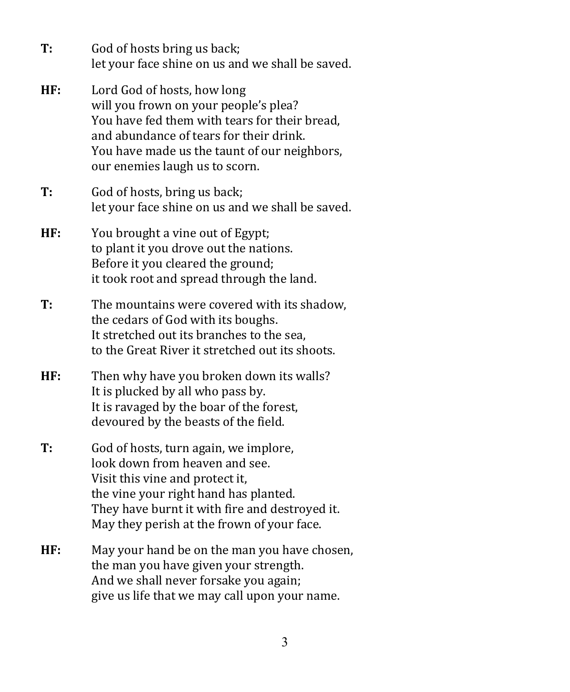- **T:** God of hosts bring us back; let your face shine on us and we shall be saved.
- **HF:** Lord God of hosts, how long will you frown on your people's plea? You have fed them with tears for their bread, and abundance of tears for their drink. You have made us the taunt of our neighbors, our enemies laugh us to scorn.
- **T:** God of hosts, bring us back; let your face shine on us and we shall be saved.
- **HF:** You brought a vine out of Egypt; to plant it you drove out the nations. Before it you cleared the ground; it took root and spread through the land.
- **T:** The mountains were covered with its shadow, the cedars of God with its boughs. It stretched out its branches to the sea, to the Great River it stretched out its shoots.
- **HF:** Then why have you broken down its walls? It is plucked by all who pass by. It is ravaged by the boar of the forest, devoured by the beasts of the field.
- **T:** God of hosts, turn again, we implore, look down from heaven and see. Visit this vine and protect it, the vine your right hand has planted. They have burnt it with fire and destroyed it. May they perish at the frown of your face.
- **HF:** May your hand be on the man you have chosen, the man you have given your strength. And we shall never forsake you again; give us life that we may call upon your name.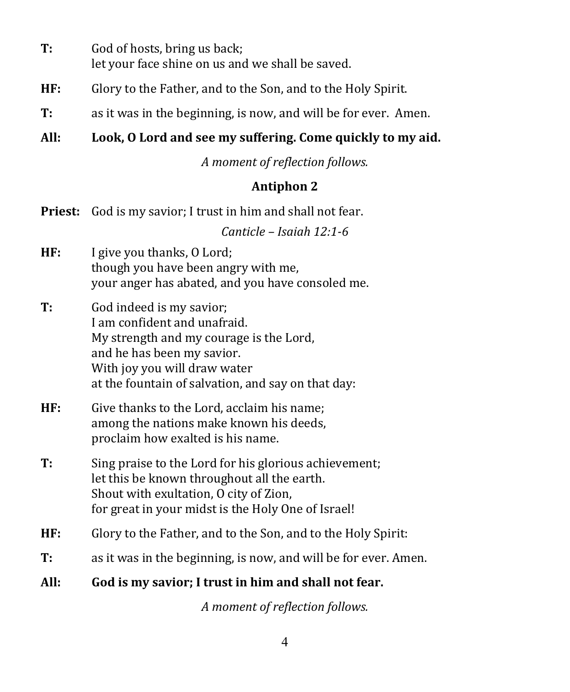- **T:** God of hosts, bring us back; let your face shine on us and we shall be saved.
- **HF:** Glory to the Father, and to the Son, and to the Holy Spirit.
- **T:** as it was in the beginning, is now, and will be for ever. Amen.

# **All: Look, O Lord and see my suffering. Come quickly to my aid.**

*A moment of reflection follows.*

## **Antiphon 2**

**Priest:** God is my savior; I trust in him and shall not fear.

*Canticle – Isaiah 12:1-6*

- **HF:** I give you thanks, O Lord; though you have been angry with me, your anger has abated, and you have consoled me.
- **T:** God indeed is my savior; I am confident and unafraid. My strength and my courage is the Lord, and he has been my savior. With joy you will draw water at the fountain of salvation, and say on that day:
- **HF:** Give thanks to the Lord, acclaim his name; among the nations make known his deeds, proclaim how exalted is his name.
- **T:** Sing praise to the Lord for his glorious achievement; let this be known throughout all the earth. Shout with exultation, O city of Zion, for great in your midst is the Holy One of Israel!
- **HF:** Glory to the Father, and to the Son, and to the Holy Spirit:
- **T:** as it was in the beginning, is now, and will be for ever. Amen.
- **All: God is my savior; I trust in him and shall not fear.**

*A moment of reflection follows.*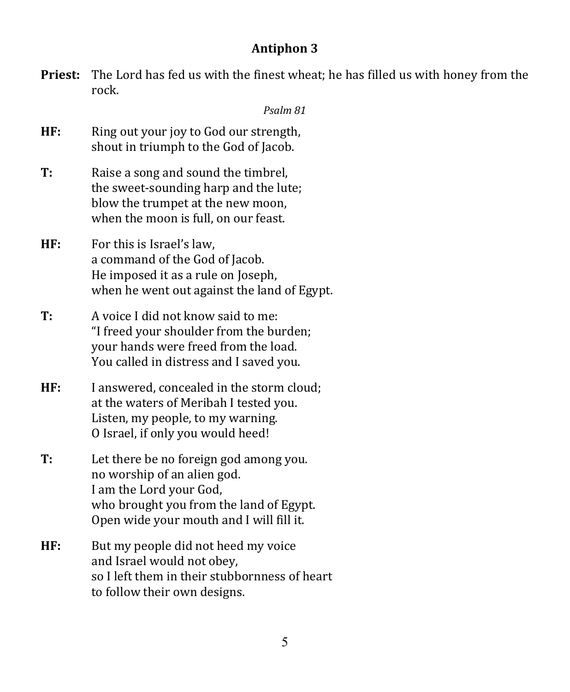### **Antiphon 3**

**Priest:** The Lord has fed us with the finest wheat; he has filled us with honey from the rock.

#### *Psalm 81*

- **HF:** Ring out your joy to God our strength, shout in triumph to the God of Jacob.
- **T:** Raise a song and sound the timbrel, the sweet-sounding harp and the lute; blow the trumpet at the new moon, when the moon is full, on our feast.
- **HF:** For this is Israel's law, a command of the God of Jacob. He imposed it as a rule on Joseph, when he went out against the land of Egypt.
- **T:** A voice I did not know said to me: "I freed your shoulder from the burden; your hands were freed from the load. You called in distress and I saved you.
- **HF:** I answered, concealed in the storm cloud; at the waters of Meribah I tested you. Listen, my people, to my warning. O Israel, if only you would heed!
- **T:** Let there be no foreign god among you. no worship of an alien god. I am the Lord your God, who brought you from the land of Egypt. Open wide your mouth and I will fill it.
- **HF:** But my people did not heed my voice and Israel would not obey, so I left them in their stubbornness of heart to follow their own designs.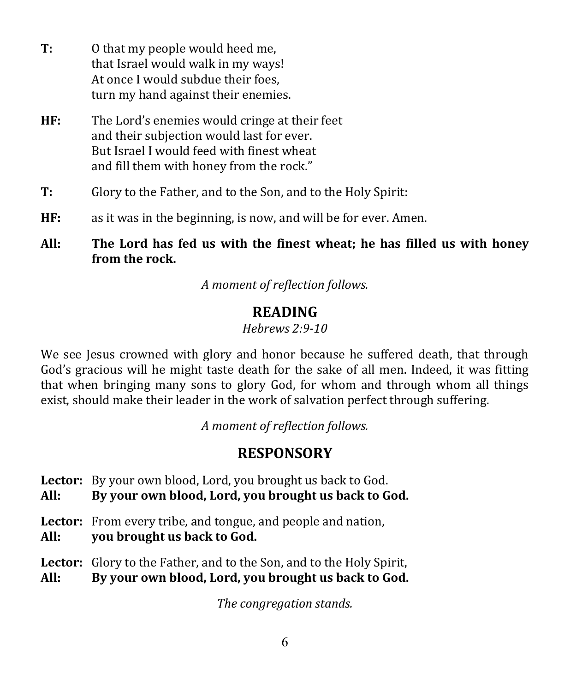- **T:** O that my people would heed me, that Israel would walk in my ways! At once I would subdue their foes, turn my hand against their enemies.
- **HF:** The Lord's enemies would cringe at their feet and their subjection would last for ever. But Israel I would feed with finest wheat and fill them with honey from the rock."
- **T:** Glory to the Father, and to the Son, and to the Holy Spirit:
- **HF:** as it was in the beginning, is now, and will be for ever. Amen.
- **All: The Lord has fed us with the finest wheat; he has filled us with honey from the rock.**

*A moment of reflection follows.*

# **READING**

*Hebrews 2:9-10*

We see Jesus crowned with glory and honor because he suffered death, that through God's gracious will he might taste death for the sake of all men. Indeed, it was fitting that when bringing many sons to glory God, for whom and through whom all things exist, should make their leader in the work of salvation perfect through suffering.

*A moment of reflection follows.*

# **RESPONSORY**

**Lector:** By your own blood, Lord, you brought us back to God.

**All: By your own blood, Lord, you brought us back to God.**

- **Lector:** From every tribe, and tongue, and people and nation,
- **All: you brought us back to God.**
- **Lector:** Glory to the Father, and to the Son, and to the Holy Spirit,

**All: By your own blood, Lord, you brought us back to God.**

*The congregation stands.*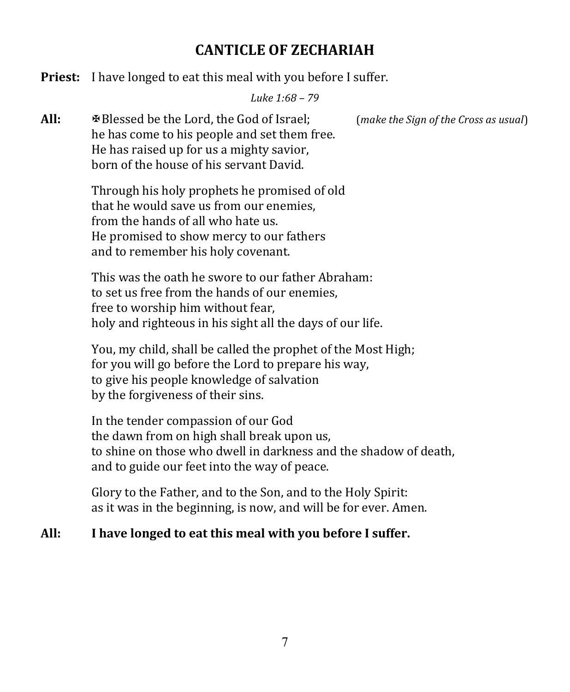# **CANTICLE OF ZECHARIAH**

**Priest:** I have longed to eat this meal with you before I suffer.

*Luke 1:68 – 79*

**All:** Blessed be the Lord, the God of Israel; (*make the Sign of the Cross as usual*) he has come to his people and set them free. He has raised up for us a mighty savior, born of the house of his servant David.

> Through his holy prophets he promised of old that he would save us from our enemies, from the hands of all who hate us. He promised to show mercy to our fathers and to remember his holy covenant.

This was the oath he swore to our father Abraham: to set us free from the hands of our enemies, free to worship him without fear, holy and righteous in his sight all the days of our life.

You, my child, shall be called the prophet of the Most High; for you will go before the Lord to prepare his way, to give his people knowledge of salvation by the forgiveness of their sins.

In the tender compassion of our God the dawn from on high shall break upon us, to shine on those who dwell in darkness and the shadow of death, and to guide our feet into the way of peace.

Glory to the Father, and to the Son, and to the Holy Spirit: as it was in the beginning, is now, and will be for ever. Amen.

#### **All: I have longed to eat this meal with you before I suffer.**